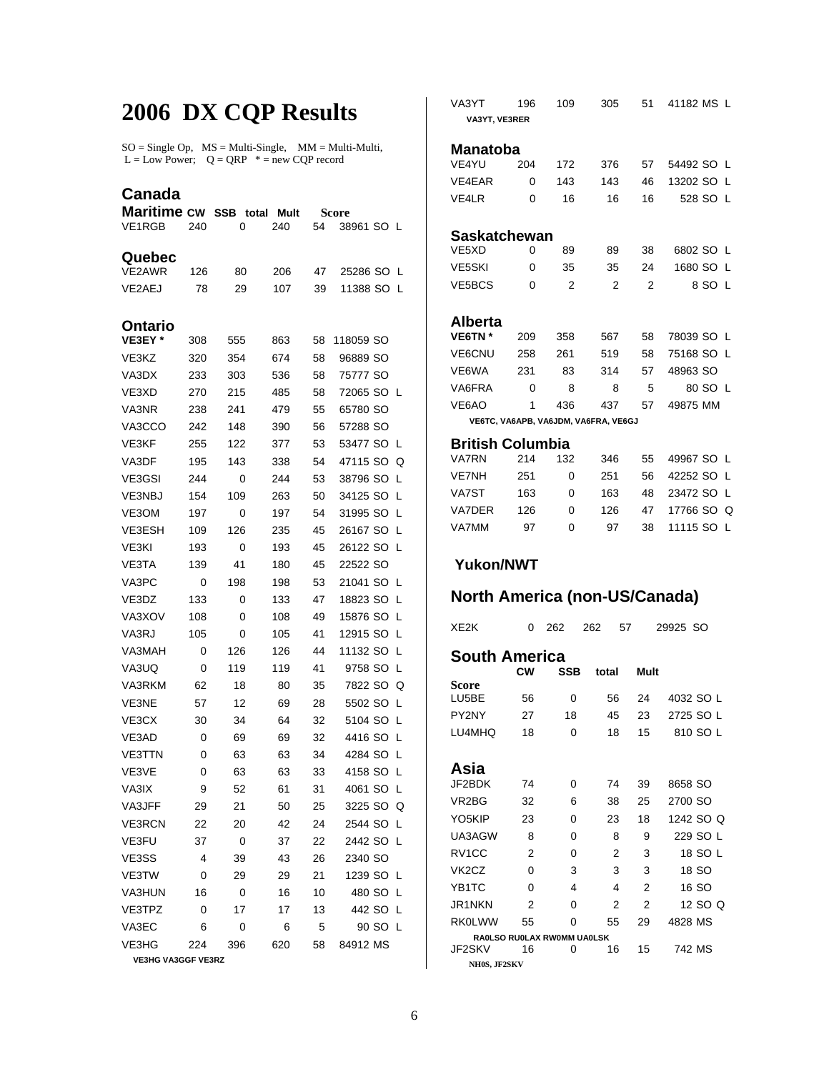## **2006 DX CQP Results**

 $SO = Single Op$ ,  $MS = Multi-Single$ ,  $MM = Multi-Multi$ ,  $L = Low Power$ ;  $Q = QRP$   $* = new COP record$ 

## **Canada**

| <b>Maritime cw</b>        |                | <b>SSB</b><br>total<br>Mult |     | Score |               |  |  |  |  |
|---------------------------|----------------|-----------------------------|-----|-------|---------------|--|--|--|--|
| VE1RGB                    | 240            | 0                           | 240 | 54    | 38961 SO L    |  |  |  |  |
| Quebec                    |                |                             |     |       |               |  |  |  |  |
| <b>VE2AWR</b>             | 126            | 80                          | 206 | 47    | 25286 SO<br>L |  |  |  |  |
| VE2AEJ                    | 78             | 29                          | 107 | 39    | 11388 SO<br>L |  |  |  |  |
|                           |                |                             |     |       |               |  |  |  |  |
| Ontario                   |                |                             |     |       |               |  |  |  |  |
| VE3EY *                   | 308            | 555                         | 863 | 58    | 118059 SO     |  |  |  |  |
| VE3KZ                     | 320            | 354                         | 674 | 58    | 96889 SO      |  |  |  |  |
| VA3DX                     | 233            | 303                         | 536 | 58    | 75777 SO      |  |  |  |  |
| VE3XD                     | 270            | 215                         | 485 | 58    | 72065 SO L    |  |  |  |  |
| VA3NR                     | 238            | 241                         | 479 | 55    | 65780 SO      |  |  |  |  |
| VA3CCO                    | 242            | 148                         | 390 | 56    | 57288 SO      |  |  |  |  |
| VE3KF                     | 255            | 122                         | 377 | 53    | 53477 SO<br>L |  |  |  |  |
| VA3DF                     | 195            | 143                         | 338 | 54    | 47115 SO<br>Q |  |  |  |  |
| VE3GSI                    | 244            | 0                           | 244 | 53    | 38796 SO<br>L |  |  |  |  |
| <b>VE3NBJ</b>             | 154            | 109                         | 263 | 50    | 34125 SO<br>L |  |  |  |  |
| VE3OM                     | 197            | 0                           | 197 | 54    | 31995 SO<br>L |  |  |  |  |
| VE3ESH                    | 109            | 126                         | 235 | 45    | 26167 SO<br>L |  |  |  |  |
| VE3KI                     | 193            | 0                           | 193 | 45    | 26122 SO<br>L |  |  |  |  |
| VE3TA                     | 139            | 41                          | 180 | 45    | 22522 SO      |  |  |  |  |
| VA3PC                     | 0              | 198                         | 198 | 53    | 21041 SO<br>L |  |  |  |  |
| VE3DZ                     | 133            | 0                           | 133 | 47    | 18823 SO<br>L |  |  |  |  |
| VA3XOV                    | 108            | 0                           | 108 | 49    | 15876 SO<br>L |  |  |  |  |
| VA3RJ                     | 105            | 0                           | 105 | 41    | 12915 SO<br>L |  |  |  |  |
| VA3MAH                    | 0              | 126                         | 126 | 44    | 11132 SO<br>L |  |  |  |  |
| VA3UQ                     | 0              | 119                         | 119 | 41    | 9758 SO<br>L  |  |  |  |  |
| VA3RKM                    | 62             | 18                          | 80  | 35    | 7822 SO<br>Q  |  |  |  |  |
| VE3NE                     | 57             | 12                          | 69  | 28    | 5502 SO<br>L  |  |  |  |  |
| VE3CX                     | 30             | 34                          | 64  | 32    | 5104 SO<br>L  |  |  |  |  |
| VE3AD                     | 0              | 69                          | 69  | 32    | 4416 SO<br>L  |  |  |  |  |
| <b>VE3TTN</b>             | 0              | 63                          | 63  | 34    | 4284 SO<br>L  |  |  |  |  |
| VE3VE                     | 0              | 63                          | 63  | 33    | 4158 SO<br>L  |  |  |  |  |
| VA3IX                     | 9              | 52                          | 61  | 31    | 4061 SO<br>L  |  |  |  |  |
| VA3JFF                    | 29             | 21                          | 50  | 25    | 3225 SO Q     |  |  |  |  |
| <b>VE3RCN</b>             | 22             | 20                          | 42  | 24    | 2544 SO L     |  |  |  |  |
| VE3FU                     | 37             | 0                           | 37  | 22    | 2442 SO L     |  |  |  |  |
| VE3SS                     | $\overline{4}$ | 39                          | 43  | 26    | 2340 SO       |  |  |  |  |
| VE3TW                     | 0              | 29                          | 29  | 21    | 1239 SO L     |  |  |  |  |
| <b>VA3HUN</b>             | 16             | 0                           | 16  | 10    | 480 SO L      |  |  |  |  |
| VE3TPZ                    | 0              | 17                          | 17  | 13    | 442 SO L      |  |  |  |  |
| VA3EC                     | 6              | 0                           | 6   | 5     | 90 SO L       |  |  |  |  |
| VE3HG                     | 224            | 396                         | 620 | 58    | 84912 MS      |  |  |  |  |
| <b>VE3HG VA3GGF VE3RZ</b> |                |                             |     |       |               |  |  |  |  |

| VA3YT                                | 196    | 109                                  | 305       | 51             | 41182 MS L       |  |  |  |  |  |
|--------------------------------------|--------|--------------------------------------|-----------|----------------|------------------|--|--|--|--|--|
| VA3YT, VE3RER                        |        |                                      |           |                |                  |  |  |  |  |  |
|                                      |        |                                      |           |                |                  |  |  |  |  |  |
| Manatoba                             |        |                                      |           |                |                  |  |  |  |  |  |
| VE4YU                                | 204    | 172                                  | 376       | 57             | 54492 SO L       |  |  |  |  |  |
| VE4EAR                               | 0      | 143                                  | 143       | 46             | 13202 SO L       |  |  |  |  |  |
| VE4LR                                | 0      | 16                                   | 16        | 16             | 528 SO L         |  |  |  |  |  |
|                                      |        |                                      |           |                |                  |  |  |  |  |  |
| Saskatchewan                         |        |                                      |           |                |                  |  |  |  |  |  |
| VE5XD                                | 0      | 89                                   | 89        | 38             | 6802 SO L        |  |  |  |  |  |
| VE5SKI                               | 0      | 35                                   | 35        | 24             | 1680 SO L        |  |  |  |  |  |
| <b>VE5BCS</b>                        | 0      | 2                                    | 2         | 2              | 8 SO L           |  |  |  |  |  |
|                                      |        |                                      |           |                |                  |  |  |  |  |  |
| Alberta                              |        |                                      |           |                |                  |  |  |  |  |  |
| VE6TN*                               | 209    | 358                                  | 567       | 58             | 78039 SO L       |  |  |  |  |  |
| <b>VE6CNU</b>                        | 258    | 261                                  | 519       | 58             | 75168 SO L       |  |  |  |  |  |
| VE6WA                                | 231    | 83                                   | 314       | 57             | 48963 SO         |  |  |  |  |  |
| VA6FRA                               | 0      | 8                                    | 8         | 5              | 80 SO L          |  |  |  |  |  |
| <b>VF6AO</b>                         | 1      | 436                                  | 437       | 57             | 49875 MM         |  |  |  |  |  |
|                                      |        | VE6TC, VA6APB, VA6JDM, VA6FRA, VE6GJ |           |                |                  |  |  |  |  |  |
| <b>British Columbia</b>              |        |                                      |           |                |                  |  |  |  |  |  |
| <b>VA7RN</b>                         | 214    | 132                                  | 346       | 55             | 49967 SO L       |  |  |  |  |  |
| <b>VE7NH</b>                         | 251    | 0                                    | 251       | 56             | 42252 SO L       |  |  |  |  |  |
| VA7ST                                | 163    | 0                                    | 163       | 48             | 23472 SO L       |  |  |  |  |  |
| VA7DER                               | 126    | 0                                    | 126       | 47             | 17766 SO Q       |  |  |  |  |  |
| VA7MM                                | 97     | 0                                    | 97        | 38             | 11115 SO L       |  |  |  |  |  |
|                                      |        |                                      |           |                |                  |  |  |  |  |  |
| <b>Yukon/NWT</b>                     |        |                                      |           |                |                  |  |  |  |  |  |
|                                      |        |                                      |           |                |                  |  |  |  |  |  |
| <b>North America (non-US/Canada)</b> |        |                                      |           |                |                  |  |  |  |  |  |
|                                      |        |                                      |           |                |                  |  |  |  |  |  |
| XE2K                                 | 0      |                                      |           |                |                  |  |  |  |  |  |
|                                      |        | 262                                  | 262<br>57 |                | 29925 SO         |  |  |  |  |  |
|                                      |        |                                      |           |                |                  |  |  |  |  |  |
| <b>South America</b>                 |        |                                      |           |                |                  |  |  |  |  |  |
|                                      | СW     | SSB                                  | total     | Mult           |                  |  |  |  |  |  |
| Score<br>LU5BE                       | 56     | 0                                    | 56        | 24             | 4032 SO L        |  |  |  |  |  |
| PY2NY                                | 27     | 18                                   | 45        | 23             | 2725 SO L        |  |  |  |  |  |
| LU4MHQ                               | 18     | 0                                    | 18        | 15             | 810 SO L         |  |  |  |  |  |
|                                      |        |                                      |           |                |                  |  |  |  |  |  |
|                                      |        |                                      |           |                |                  |  |  |  |  |  |
| Asia<br>JF2BDK                       | 74     | 0                                    | 74        | 39             | 8658 SO          |  |  |  |  |  |
| VR2BG                                | 32     | 6                                    | 38        | 25             | 2700 SO          |  |  |  |  |  |
| YO5KIP                               | 23     | 0                                    | 23        | 18             | 1242 SO Q        |  |  |  |  |  |
| UA3AGW                               | 8      | 0                                    | 8         | 9              | 229 SO L         |  |  |  |  |  |
| RV1CC                                | 2      | 0                                    | 2         | 3              | 18 SO L          |  |  |  |  |  |
| VK <sub>2</sub> CZ                   | 0      | 3                                    | 3         | 3              |                  |  |  |  |  |  |
|                                      |        | 4                                    | 4         | 2              | 18 SO            |  |  |  |  |  |
| YB1TC<br>JR1NKN                      | 0<br>2 | 0                                    | 2         | $\overline{2}$ | 16 SO<br>12 SO Q |  |  |  |  |  |

 **NH0S, JF2SKV** 

 **RA0LSO RU0LAX RW0MM UA0LSK** 

0 16 15 742 MS